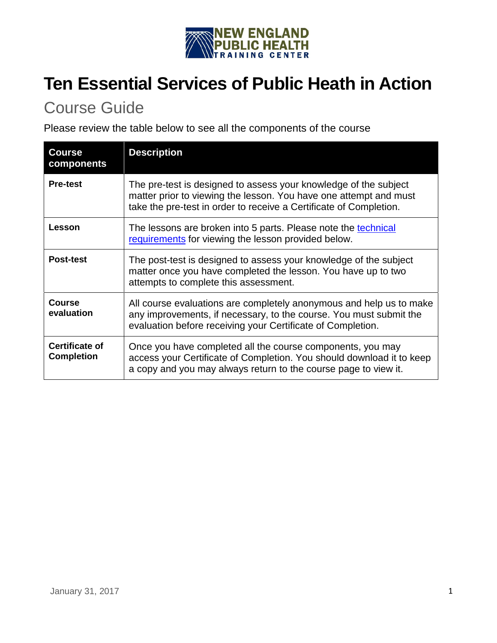

# **Ten Essential Services of Public Heath in Action**

## Course Guide

Please review the table below to see all the components of the course

| <b>Course</b><br>components                | <b>Description</b>                                                                                                                                                                                          |
|--------------------------------------------|-------------------------------------------------------------------------------------------------------------------------------------------------------------------------------------------------------------|
| <b>Pre-test</b>                            | The pre-test is designed to assess your knowledge of the subject<br>matter prior to viewing the lesson. You have one attempt and must<br>take the pre-test in order to receive a Certificate of Completion. |
| Lesson                                     | The lessons are broken into 5 parts. Please note the technical<br>requirements for viewing the lesson provided below.                                                                                       |
| <b>Post-test</b>                           | The post-test is designed to assess your knowledge of the subject<br>matter once you have completed the lesson. You have up to two<br>attempts to complete this assessment.                                 |
| <b>Course</b><br>evaluation                | All course evaluations are completely anonymous and help us to make<br>any improvements, if necessary, to the course. You must submit the<br>evaluation before receiving your Certificate of Completion.    |
| <b>Certificate of</b><br><b>Completion</b> | Once you have completed all the course components, you may<br>access your Certificate of Completion. You should download it to keep<br>a copy and you may always return to the course page to view it.      |